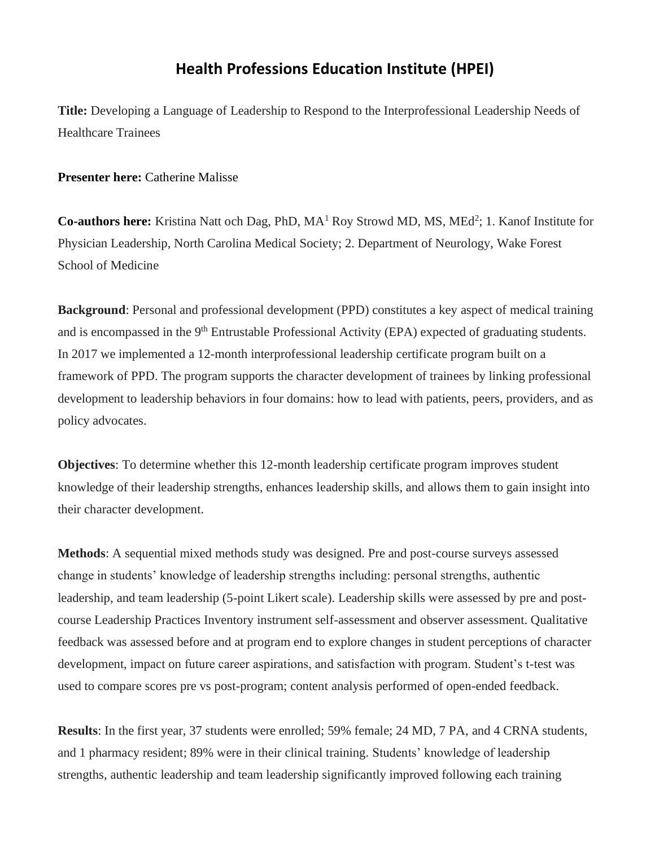## **Health Professions Education Institute (HPEI)**

**Title:** Developing a Language of Leadership to Respond to the Interprofessional Leadership Needs of Healthcare Trainees

## **Presenter here:** Catherine Malisse

Co-authors here: Kristina Natt och Dag, PhD, MA<sup>1</sup> Roy Strowd MD, MS, MEd<sup>2</sup>; 1. Kanof Institute for Physician Leadership, North Carolina Medical Society; 2. Department of Neurology, Wake Forest School of Medicine

**Background**: Personal and professional development (PPD) constitutes a key aspect of medical training and is encompassed in the 9<sup>th</sup> Entrustable Professional Activity (EPA) expected of graduating students. In 2017 we implemented a 12-month interprofessional leadership certificate program built on a framework of PPD. The program supports the character development of trainees by linking professional development to leadership behaviors in four domains: how to lead with patients, peers, providers, and as policy advocates.

**Objectives**: To determine whether this 12-month leadership certificate program improves student knowledge of their leadership strengths, enhances leadership skills, and allows them to gain insight into their character development.

**Methods**: A sequential mixed methods study was designed. Pre and post-course surveys assessed change in students' knowledge of leadership strengths including: personal strengths, authentic leadership, and team leadership (5-point Likert scale). Leadership skills were assessed by pre and postcourse Leadership Practices Inventory instrument self-assessment and observer assessment. Qualitative feedback was assessed before and at program end to explore changes in student perceptions of character development, impact on future career aspirations, and satisfaction with program. Student's t-test was used to compare scores pre vs post-program; content analysis performed of open-ended feedback.

**Results**: In the first year, 37 students were enrolled; 59% female; 24 MD, 7 PA, and 4 CRNA students, and 1 pharmacy resident; 89% were in their clinical training. Students' knowledge of leadership strengths, authentic leadership and team leadership significantly improved following each training